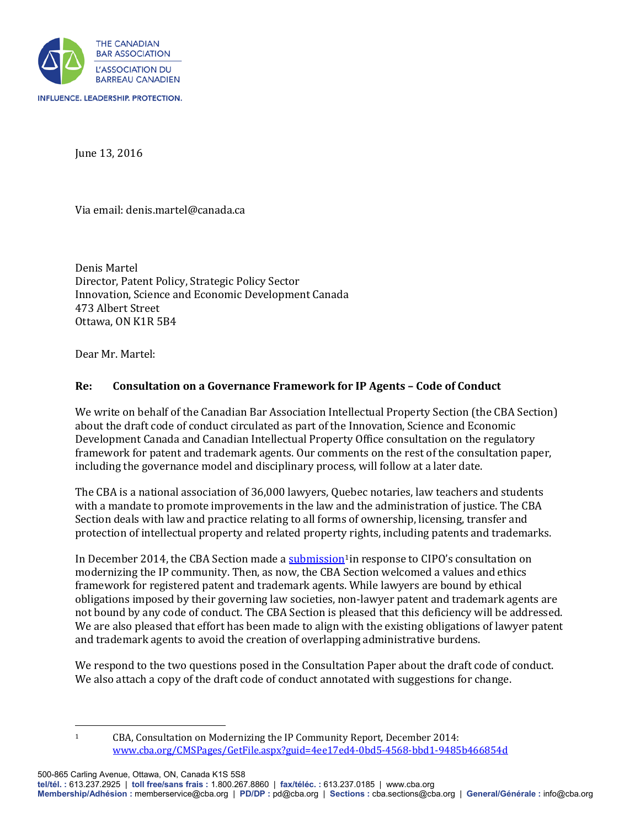

June 13, 2016

Via email: denis.martel@canada.ca

Denis Martel Director, Patent Policy, Strategic Policy Sector Innovation, Science and Economic Development Canada 473 Albert Street Ottawa, ON K1R 5B4

Dear Mr. Martel:

## **Re: Consultation on a Governance Framework for IP Agents – Code of Conduct**

We write on behalf of the Canadian Bar Association Intellectual Property Section (the CBA Section) about the draft code of conduct circulated as part of the Innovation, Science and Economic Development Canada and Canadian Intellectual Property Office consultation on the regulatory framework for patent and trademark agents. Our comments on the rest of the consultation paper, including the governance model and disciplinary process, will follow at a later date.

The CBA is a national association of 36,000 lawyers, Quebec notaries, law teachers and students with a mandate to promote improvements in the law and the administration of justice. The CBA Section deals with law and practice relating to all forms of ownership, licensing, transfer and protection of intellectual property and related property rights, including patents and trademarks.

In December 2014, the CBA Section made a [submission](http://www.cba.org/CMSPages/GetFile.aspx?guid=4ee17ed4-0bd5-4568-bbd1-9485b466854d)<sup>[1](#page-0-0)</sup> in response to CIPO's consultation on modernizing the IP community. Then, as now, the CBA Section welcomed a values and ethics framework for registered patent and trademark agents. While lawyers are bound by ethical obligations imposed by their governing law societies, non-lawyer patent and trademark agents are not bound by any code of conduct. The CBA Section is pleased that this deficiency will be addressed. We are also pleased that effort has been made to align with the existing obligations of lawyer patent and trademark agents to avoid the creation of overlapping administrative burdens.

We respond to the two questions posed in the Consultation Paper about the draft code of conduct. We also attach a copy of the draft code of conduct annotated with suggestions for change.

<span id="page-0-0"></span>500-865 Carling Avenue, Ottawa, ON, Canada K1S 5S8

**tel/tél. :** 613.237.2925 | **toll free/sans frais :** 1.800.267.8860 | **fax/téléc. :** 613.237.0185 | www.cba.org

**Membership/Adhésion :** memberservice@cba.org | **PD/DP :** pd@cba.org | **Sections :** cba.sections@cba.org | **General/Générale :** info@cba.org

l

<sup>1</sup> CBA, Consultation on Modernizing the IP Community Report, December 2014: [www.cba.org/CMSPages/GetFile.aspx?guid=4ee17ed4-0bd5-4568-bbd1-9485b466854d](http://www.cba.org/CMSPages/GetFile.aspx?guid=4ee17ed4-0bd5-4568-bbd1-9485b466854d)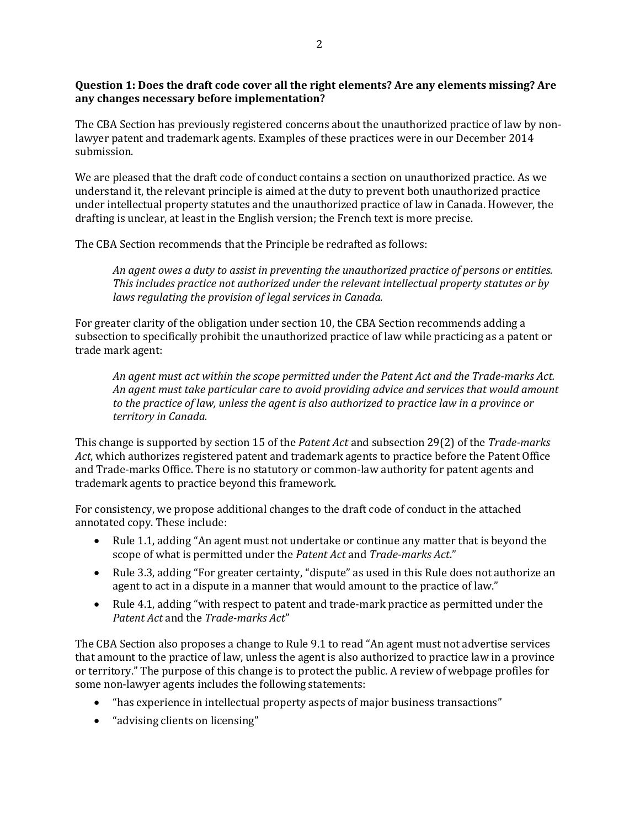## **Question 1: Does the draft code cover all the right elements? Are any elements missing? Are any changes necessary before implementation?**

The CBA Section has previously registered concerns about the unauthorized practice of law by nonlawyer patent and trademark agents. Examples of these practices were in our December 2014 submission.

We are pleased that the draft code of conduct contains a section on unauthorized practice. As we understand it, the relevant principle is aimed at the duty to prevent both unauthorized practice under intellectual property statutes and the unauthorized practice of law in Canada. However, the drafting is unclear, at least in the English version; the French text is more precise.

The CBA Section recommends that the Principle be redrafted as follows:

*An agent owes a duty to assist in preventing the unauthorized practice of persons or entities. This includes practice not authorized under the relevant intellectual property statutes or by laws regulating the provision of legal services in Canada.* 

For greater clarity of the obligation under section 10, the CBA Section recommends adding a subsection to specifically prohibit the unauthorized practice of law while practicing as a patent or trade mark agent:

*An agent must act within the scope permitted under the Patent Act and the Trade-marks Act. An agent must take particular care to avoid providing advice and services that would amount to the practice of law, unless the agent is also authorized to practice law in a province or territory in Canada.*

This change is supported by section 15 of the *Patent Act* and subsection 29(2) of the *Trade-marks Act*, which authorizes registered patent and trademark agents to practice before the Patent Office and Trade-marks Office. There is no statutory or common-law authority for patent agents and trademark agents to practice beyond this framework.

For consistency, we propose additional changes to the draft code of conduct in the attached annotated copy. These include:

- Rule 1.1, adding "An agent must not undertake or continue any matter that is beyond the scope of what is permitted under the *Patent Act* and *Trade-marks Act*."
- Rule 3.3, adding "For greater certainty, "dispute" as used in this Rule does not authorize an agent to act in a dispute in a manner that would amount to the practice of law."
- Rule 4.1, adding "with respect to patent and trade-mark practice as permitted under the *Patent Act* and the *Trade-marks Act*"

The CBA Section also proposes a change to Rule 9.1 to read "An agent must not advertise services that amount to the practice of law, unless the agent is also authorized to practice law in a province or territory." The purpose of this change is to protect the public. A review of webpage profiles for some non-lawyer agents includes the following statements:

- "has experience in intellectual property aspects of major business transactions"
- "advising clients on licensing"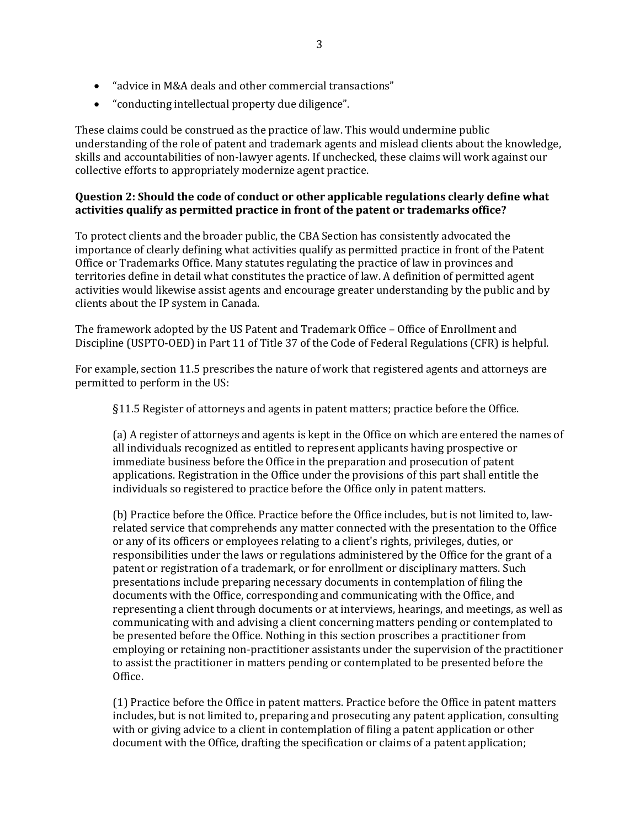- "advice in M&A deals and other commercial transactions"
- "conducting intellectual property due diligence".

These claims could be construed as the practice of law. This would undermine public understanding of the role of patent and trademark agents and mislead clients about the knowledge, skills and accountabilities of non-lawyer agents. If unchecked, these claims will work against our collective efforts to appropriately modernize agent practice.

### **Question 2: Should the code of conduct or other applicable regulations clearly define what activities qualify as permitted practice in front of the patent or trademarks office?**

To protect clients and the broader public, the CBA Section has consistently advocated the importance of clearly defining what activities qualify as permitted practice in front of the Patent Office or Trademarks Office. Many statutes regulating the practice of law in provinces and territories define in detail what constitutes the practice of law. A definition of permitted agent activities would likewise assist agents and encourage greater understanding by the public and by clients about the IP system in Canada.

The framework adopted by the US Patent and Trademark Office – Office of Enrollment and Discipline (USPTO-OED) in Part 11 of Title 37 of the Code of Federal Regulations (CFR) is helpful.

For example, section 11.5 prescribes the nature of work that registered agents and attorneys are permitted to perform in the US:

§11.5 Register of attorneys and agents in patent matters; practice before the Office.

(a) A register of attorneys and agents is kept in the Office on which are entered the names of all individuals recognized as entitled to represent applicants having prospective or immediate business before the Office in the preparation and prosecution of patent applications. Registration in the Office under the provisions of this part shall entitle the individuals so registered to practice before the Office only in patent matters.

(b) Practice before the Office. Practice before the Office includes, but is not limited to, lawrelated service that comprehends any matter connected with the presentation to the Office or any of its officers or employees relating to a client's rights, privileges, duties, or responsibilities under the laws or regulations administered by the Office for the grant of a patent or registration of a trademark, or for enrollment or disciplinary matters. Such presentations include preparing necessary documents in contemplation of filing the documents with the Office, corresponding and communicating with the Office, and representing a client through documents or at interviews, hearings, and meetings, as well as communicating with and advising a client concerning matters pending or contemplated to be presented before the Office. Nothing in this section proscribes a practitioner from employing or retaining non-practitioner assistants under the supervision of the practitioner to assist the practitioner in matters pending or contemplated to be presented before the Office.

(1) Practice before the Office in patent matters. Practice before the Office in patent matters includes, but is not limited to, preparing and prosecuting any patent application, consulting with or giving advice to a client in contemplation of filing a patent application or other document with the Office, drafting the specification or claims of a patent application;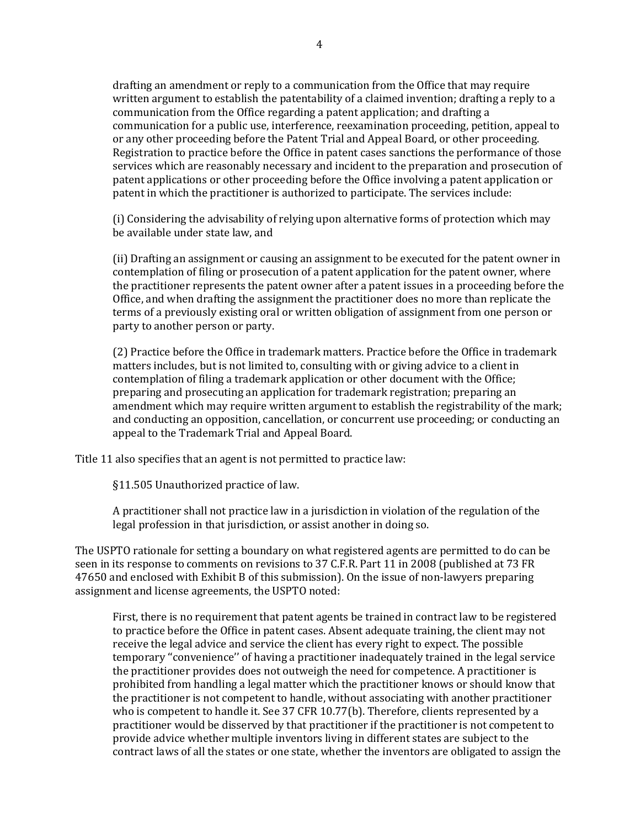drafting an amendment or reply to a communication from the Office that may require written argument to establish the patentability of a claimed invention; drafting a reply to a communication from the Office regarding a patent application; and drafting a communication for a public use, interference, reexamination proceeding, petition, appeal to or any other proceeding before the Patent Trial and Appeal Board, or other proceeding. Registration to practice before the Office in patent cases sanctions the performance of those services which are reasonably necessary and incident to the preparation and prosecution of patent applications or other proceeding before the Office involving a patent application or patent in which the practitioner is authorized to participate. The services include:

(i) Considering the advisability of relying upon alternative forms of protection which may be available under state law, and

(ii) Drafting an assignment or causing an assignment to be executed for the patent owner in contemplation of filing or prosecution of a patent application for the patent owner, where the practitioner represents the patent owner after a patent issues in a proceeding before the Office, and when drafting the assignment the practitioner does no more than replicate the terms of a previously existing oral or written obligation of assignment from one person or party to another person or party.

(2) Practice before the Office in trademark matters. Practice before the Office in trademark matters includes, but is not limited to, consulting with or giving advice to a client in contemplation of filing a trademark application or other document with the Office; preparing and prosecuting an application for trademark registration; preparing an amendment which may require written argument to establish the registrability of the mark; and conducting an opposition, cancellation, or concurrent use proceeding; or conducting an appeal to the Trademark Trial and Appeal Board.

Title 11 also specifies that an agent is not permitted to practice law:

§11.505 Unauthorized practice of law.

A practitioner shall not practice law in a jurisdiction in violation of the regulation of the legal profession in that jurisdiction, or assist another in doing so.

The USPTO rationale for setting a boundary on what registered agents are permitted to do can be seen in its response to comments on revisions to 37 C.F.R. Part 11 in 2008 (published at 73 FR 47650 and enclosed with Exhibit B of this submission). On the issue of non-lawyers preparing assignment and license agreements, the USPTO noted:

First, there is no requirement that patent agents be trained in contract law to be registered to practice before the Office in patent cases. Absent adequate training, the client may not receive the legal advice and service the client has every right to expect. The possible temporary ''convenience'' of having a practitioner inadequately trained in the legal service the practitioner provides does not outweigh the need for competence. A practitioner is prohibited from handling a legal matter which the practitioner knows or should know that the practitioner is not competent to handle, without associating with another practitioner who is competent to handle it. See 37 CFR 10.77(b). Therefore, clients represented by a practitioner would be disserved by that practitioner if the practitioner is not competent to provide advice whether multiple inventors living in different states are subject to the contract laws of all the states or one state, whether the inventors are obligated to assign the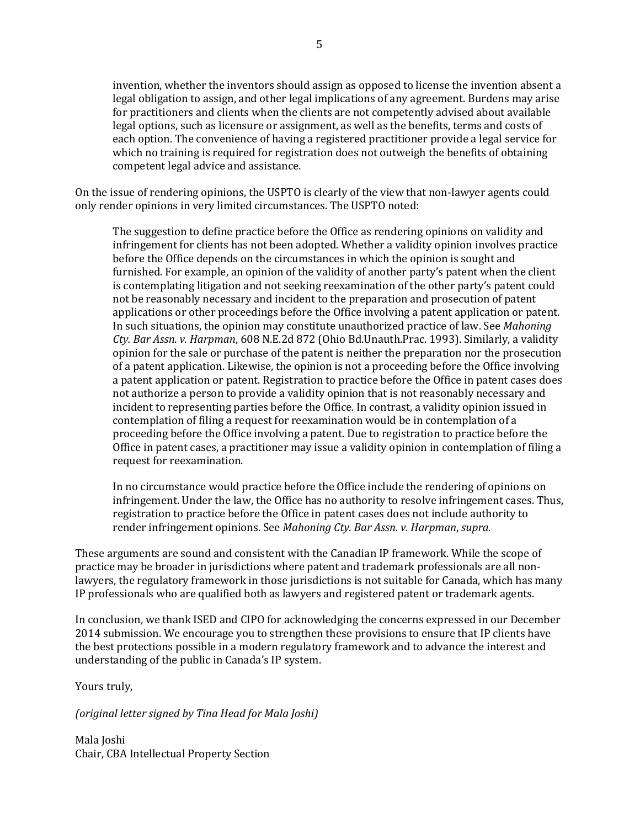invention, whether the inventors should assign as opposed to license the invention absent a legal obligation to assign, and other legal implications of any agreement. Burdens may arise for practitioners and clients when the clients are not competently advised about available legal options, such as licensure or assignment, as well as the benefits, terms and costs of each option. The convenience of having a registered practitioner provide a legal service for which no training is required for registration does not outweigh the benefits of obtaining competent legal advice and assistance.

On the issue of rendering opinions, the USPTO is clearly of the view that non-lawyer agents could only render opinions in very limited circumstances. The USPTO noted:

The suggestion to define practice before the Office as rendering opinions on validity and infringement for clients has not been adopted. Whether a validity opinion involves practice before the Office depends on the circumstances in which the opinion is sought and furnished. For example, an opinion of the validity of another party's patent when the client is contemplating litigation and not seeking reexamination of the other party's patent could not be reasonably necessary and incident to the preparation and prosecution of patent applications or other proceedings before the Office involving a patent application or patent. In such situations, the opinion may constitute unauthorized practice of law. See *Mahoning Cty. Bar Assn. v. Harpman*, 608 N.E.2d 872 (Ohio Bd.Unauth.Prac. 1993). Similarly, a validity opinion for the sale or purchase of the patent is neither the preparation nor the prosecution of a patent application. Likewise, the opinion is not a proceeding before the Office involving a patent application or patent. Registration to practice before the Office in patent cases does not authorize a person to provide a validity opinion that is not reasonably necessary and incident to representing parties before the Office. In contrast, a validity opinion issued in contemplation of filing a request for reexamination would be in contemplation of a proceeding before the Office involving a patent. Due to registration to practice before the Office in patent cases, a practitioner may issue a validity opinion in contemplation of filing a request for reexamination.

In no circumstance would practice before the Office include the rendering of opinions on infringement. Under the law, the Office has no authority to resolve infringement cases. Thus, registration to practice before the Office in patent cases does not include authority to render infringement opinions. See *Mahoning Cty. Bar Assn. v. Harpman*, *supra*.

These arguments are sound and consistent with the Canadian IP framework. While the scope of practice may be broader in jurisdictions where patent and trademark professionals are all nonlawyers, the regulatory framework in those jurisdictions is not suitable for Canada, which has many IP professionals who are qualified both as lawyers and registered patent or trademark agents.

In conclusion, we thank ISED and CIPO for acknowledging the concerns expressed in our December 2014 submission. We encourage you to strengthen these provisions to ensure that IP clients have the best protections possible in a modern regulatory framework and to advance the interest and understanding of the public in Canada's IP system.

Yours truly,

*(original letter signed by Tina Head for Mala Joshi)*

Mala Joshi Chair, CBA Intellectual Property Section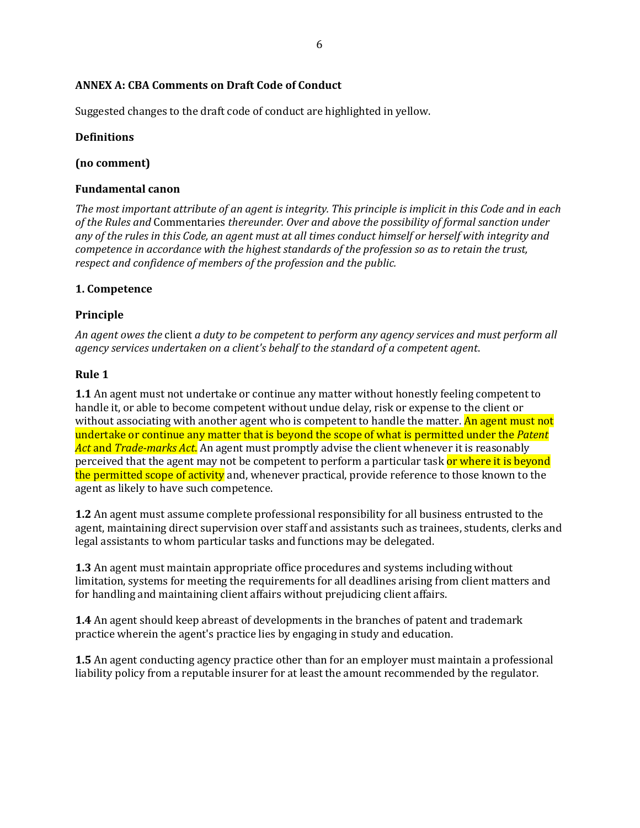# **ANNEX A: CBA Comments on Draft Code of Conduct**

Suggested changes to the draft code of conduct are highlighted in yellow.

# **Definitions**

# **(no comment)**

# **Fundamental canon**

*The most important attribute of an agent is integrity. This principle is implicit in this Code and in each of the Rules and* Commentaries *thereunder. Over and above the possibility of formal sanction under any of the rules in this Code, an agent must at all times conduct himself or herself with integrity and competence in accordance with the highest standards of the profession so as to retain the trust, respect and confidence of members of the profession and the public.*

# **1. Competence**

# **Principle**

*An agent owes the* client *a duty to be competent to perform any agency services and must perform all agency services undertaken on a client's behalf to the standard of a competent agent*.

### **Rule 1**

**1.1** An agent must not undertake or continue any matter without honestly feeling competent to handle it, or able to become competent without undue delay, risk or expense to the client or without associating with another agent who is competent to handle the matter. An agent must not undertake or continue any matter that is beyond the scope of what is permitted under the *Patent Act* and *Trade-marks Act*. An agent must promptly advise the client whenever it is reasonably perceived that the agent may not be competent to perform a particular task or where it is beyond the permitted scope of activity and, whenever practical, provide reference to those known to the agent as likely to have such competence.

**1.2** An agent must assume complete professional responsibility for all business entrusted to the agent, maintaining direct supervision over staff and assistants such as trainees, students, clerks and legal assistants to whom particular tasks and functions may be delegated.

**1.3** An agent must maintain appropriate office procedures and systems including without limitation, systems for meeting the requirements for all deadlines arising from client matters and for handling and maintaining client affairs without prejudicing client affairs.

**1.4** An agent should keep abreast of developments in the branches of patent and trademark practice wherein the agent's practice lies by engaging in study and education.

**1.5** An agent conducting agency practice other than for an employer must maintain a professional liability policy from a reputable insurer for at least the amount recommended by the regulator.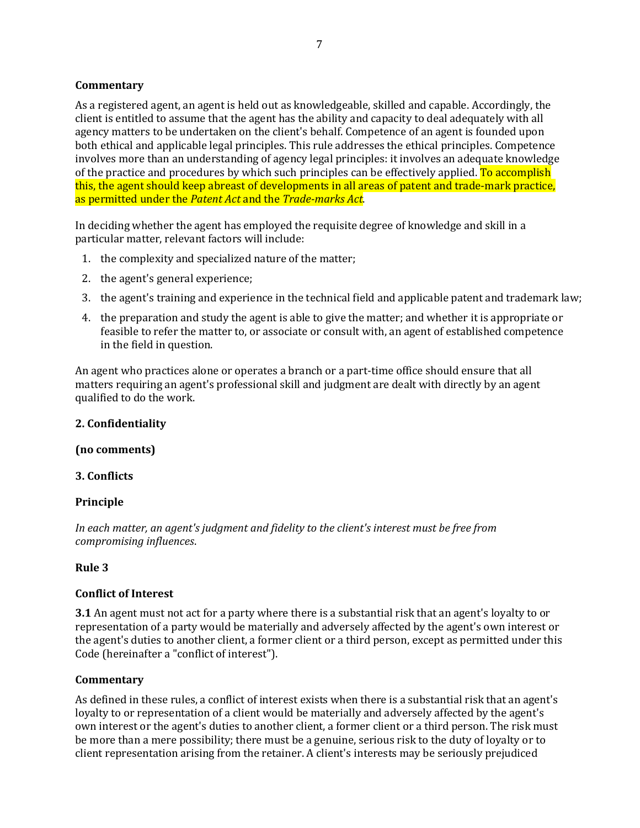### **Commentary**

As a registered agent, an agent is held out as knowledgeable, skilled and capable. Accordingly, the client is entitled to assume that the agent has the ability and capacity to deal adequately with all agency matters to be undertaken on the client's behalf. Competence of an agent is founded upon both ethical and applicable legal principles. This rule addresses the ethical principles. Competence involves more than an understanding of agency legal principles: it involves an adequate knowledge of the practice and procedures by which such principles can be effectively applied. To accomplish this, the agent should keep abreast of developments in all areas of patent and trade-mark practice, as permitted under the *Patent Act* and the *Trade-marks Act*.

In deciding whether the agent has employed the requisite degree of knowledge and skill in a particular matter, relevant factors will include:

- 1. the complexity and specialized nature of the matter;
- 2. the agent's general experience;
- 3. the agent's training and experience in the technical field and applicable patent and trademark law;
- 4. the preparation and study the agent is able to give the matter; and whether it is appropriate or feasible to refer the matter to, or associate or consult with, an agent of established competence in the field in question.

An agent who practices alone or operates a branch or a part-time office should ensure that all matters requiring an agent's professional skill and judgment are dealt with directly by an agent qualified to do the work.

## **2. Confidentiality**

#### **(no comments)**

#### **3. Conflicts**

#### **Principle**

*In each matter, an agent's judgment and fidelity to the client's interest must be free from compromising influences*.

#### **Rule 3**

#### **Conflict of Interest**

**3.1** An agent must not act for a party where there is a substantial risk that an agent's loyalty to or representation of a party would be materially and adversely affected by the agent's own interest or the agent's duties to another client, a former client or a third person, except as permitted under this Code (hereinafter a "conflict of interest").

#### **Commentary**

As defined in these rules, a conflict of interest exists when there is a substantial risk that an agent's loyalty to or representation of a client would be materially and adversely affected by the agent's own interest or the agent's duties to another client, a former client or a third person. The risk must be more than a mere possibility; there must be a genuine, serious risk to the duty of loyalty or to client representation arising from the retainer. A client's interests may be seriously prejudiced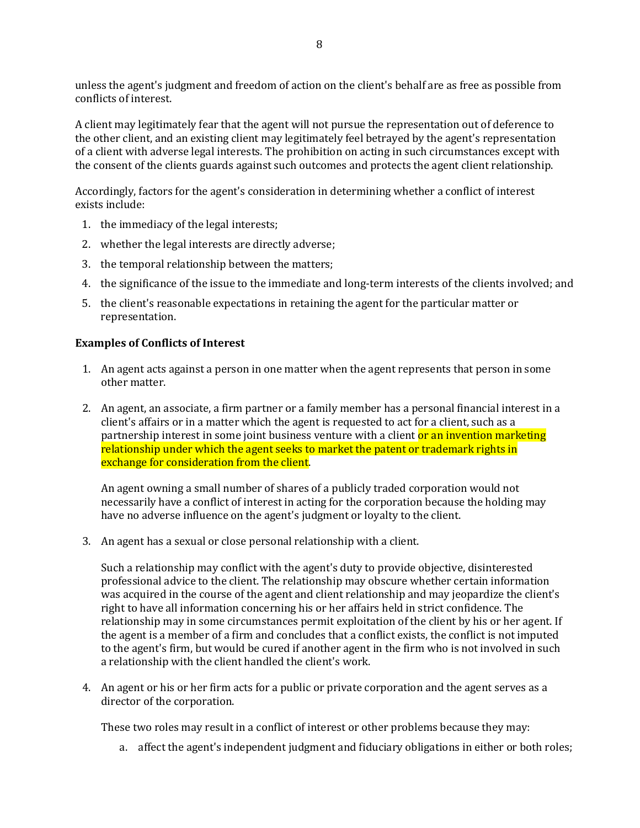unless the agent's judgment and freedom of action on the client's behalf are as free as possible from conflicts of interest.

A client may legitimately fear that the agent will not pursue the representation out of deference to the other client, and an existing client may legitimately feel betrayed by the agent's representation of a client with adverse legal interests. The prohibition on acting in such circumstances except with the consent of the clients guards against such outcomes and protects the agent client relationship.

Accordingly, factors for the agent's consideration in determining whether a conflict of interest exists include:

- 1. the immediacy of the legal interests;
- 2. whether the legal interests are directly adverse;
- 3. the temporal relationship between the matters;
- 4. the significance of the issue to the immediate and long-term interests of the clients involved; and
- 5. the client's reasonable expectations in retaining the agent for the particular matter or representation.

#### **Examples of Conflicts of Interest**

- 1. An agent acts against a person in one matter when the agent represents that person in some other matter.
- 2. An agent, an associate, a firm partner or a family member has a personal financial interest in a client's affairs or in a matter which the agent is requested to act for a client, such as a partnership interest in some joint business venture with a client or an invention marketing relationship under which the agent seeks to market the patent or trademark rights in exchange for consideration from the client.

An agent owning a small number of shares of a publicly traded corporation would not necessarily have a conflict of interest in acting for the corporation because the holding may have no adverse influence on the agent's judgment or loyalty to the client.

3. An agent has a sexual or close personal relationship with a client.

Such a relationship may conflict with the agent's duty to provide objective, disinterested professional advice to the client. The relationship may obscure whether certain information was acquired in the course of the agent and client relationship and may jeopardize the client's right to have all information concerning his or her affairs held in strict confidence. The relationship may in some circumstances permit exploitation of the client by his or her agent. If the agent is a member of a firm and concludes that a conflict exists, the conflict is not imputed to the agent's firm, but would be cured if another agent in the firm who is not involved in such a relationship with the client handled the client's work.

4. An agent or his or her firm acts for a public or private corporation and the agent serves as a director of the corporation.

These two roles may result in a conflict of interest or other problems because they may:

a. affect the agent's independent judgment and fiduciary obligations in either or both roles;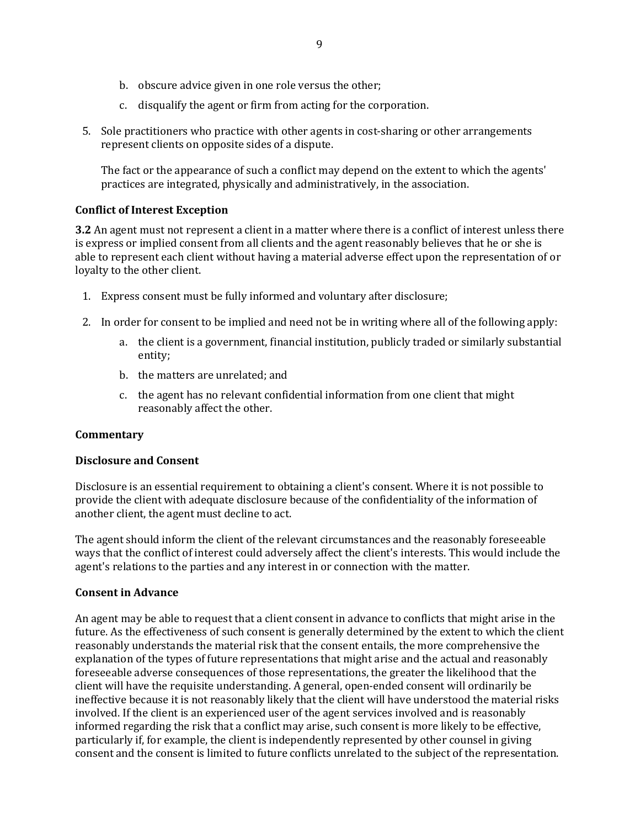- b. obscure advice given in one role versus the other;
- c. disqualify the agent or firm from acting for the corporation.
- 5. Sole practitioners who practice with other agents in cost-sharing or other arrangements represent clients on opposite sides of a dispute.

The fact or the appearance of such a conflict may depend on the extent to which the agents' practices are integrated, physically and administratively, in the association.

## **Conflict of Interest Exception**

**3.2** An agent must not represent a client in a matter where there is a conflict of interest unless there is express or implied consent from all clients and the agent reasonably believes that he or she is able to represent each client without having a material adverse effect upon the representation of or loyalty to the other client.

- 1. Express consent must be fully informed and voluntary after disclosure;
- 2. In order for consent to be implied and need not be in writing where all of the following apply:
	- a. the client is a government, financial institution, publicly traded or similarly substantial entity;
	- b. the matters are unrelated; and
	- c. the agent has no relevant confidential information from one client that might reasonably affect the other.

## **Commentary**

#### **Disclosure and Consent**

Disclosure is an essential requirement to obtaining a client's consent. Where it is not possible to provide the client with adequate disclosure because of the confidentiality of the information of another client, the agent must decline to act.

The agent should inform the client of the relevant circumstances and the reasonably foreseeable ways that the conflict of interest could adversely affect the client's interests. This would include the agent's relations to the parties and any interest in or connection with the matter.

#### **Consent in Advance**

An agent may be able to request that a client consent in advance to conflicts that might arise in the future. As the effectiveness of such consent is generally determined by the extent to which the client reasonably understands the material risk that the consent entails, the more comprehensive the explanation of the types of future representations that might arise and the actual and reasonably foreseeable adverse consequences of those representations, the greater the likelihood that the client will have the requisite understanding. A general, open-ended consent will ordinarily be ineffective because it is not reasonably likely that the client will have understood the material risks involved. If the client is an experienced user of the agent services involved and is reasonably informed regarding the risk that a conflict may arise, such consent is more likely to be effective, particularly if, for example, the client is independently represented by other counsel in giving consent and the consent is limited to future conflicts unrelated to the subject of the representation.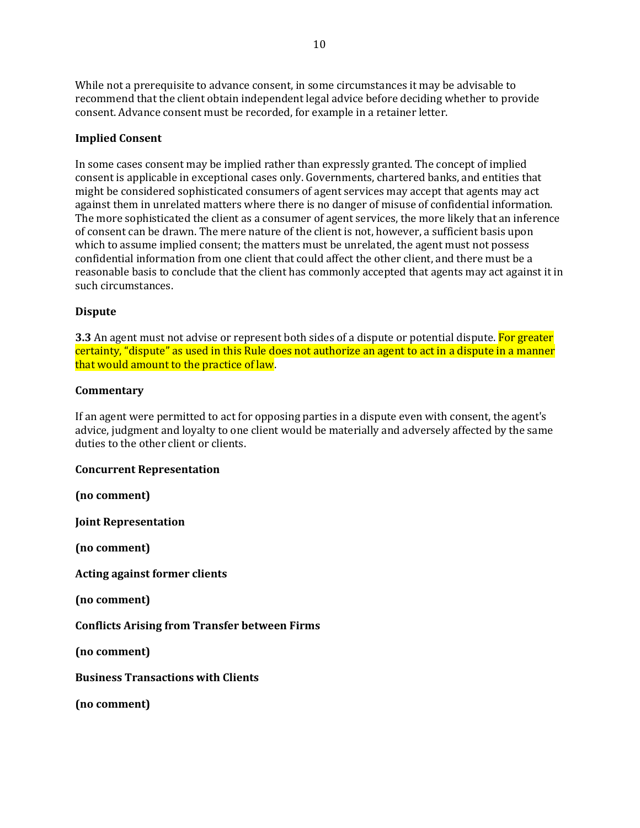While not a prerequisite to advance consent, in some circumstances it may be advisable to recommend that the client obtain independent legal advice before deciding whether to provide consent. Advance consent must be recorded, for example in a retainer letter.

#### **Implied Consent**

In some cases consent may be implied rather than expressly granted. The concept of implied consent is applicable in exceptional cases only. Governments, chartered banks, and entities that might be considered sophisticated consumers of agent services may accept that agents may act against them in unrelated matters where there is no danger of misuse of confidential information. The more sophisticated the client as a consumer of agent services, the more likely that an inference of consent can be drawn. The mere nature of the client is not, however, a sufficient basis upon which to assume implied consent; the matters must be unrelated, the agent must not possess confidential information from one client that could affect the other client, and there must be a reasonable basis to conclude that the client has commonly accepted that agents may act against it in such circumstances.

#### **Dispute**

**3.3** An agent must not advise or represent both sides of a dispute or potential dispute. For greater certainty, "dispute" as used in this Rule does not authorize an agent to act in a dispute in a manner that would amount to the practice of law.

#### **Commentary**

If an agent were permitted to act for opposing parties in a dispute even with consent, the agent's advice, judgment and loyalty to one client would be materially and adversely affected by the same duties to the other client or clients.

#### **Concurrent Representation**

**(no comment)**

**Joint Representation**

**(no comment)**

**Acting against former clients**

**(no comment)**

**Conflicts Arising from Transfer between Firms**

**(no comment)**

**Business Transactions with Clients**

**(no comment)**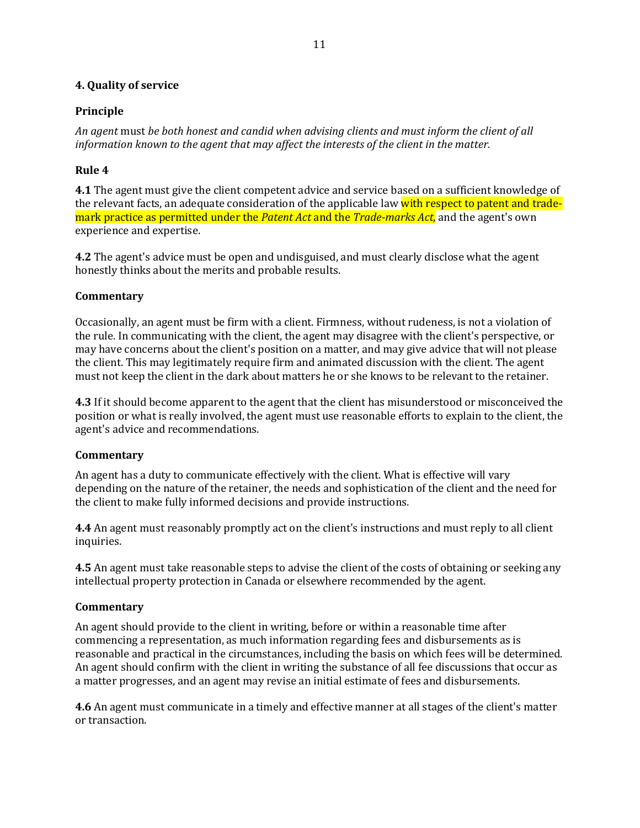### **4. Quality of service**

## **Principle**

*An agent* must *be both honest and candid when advising clients and must inform the client of all information known to the agent that may affect the interests of the client in the matter.*

## **Rule 4**

**4.1** The agent must give the client competent advice and service based on a sufficient knowledge of the relevant facts, an adequate consideration of the applicable law with respect to patent and trademark practice as permitted under the *Patent Act* and the *Trade-marks Act*, and the agent's own experience and expertise.

**4.2** The agent's advice must be open and undisguised, and must clearly disclose what the agent honestly thinks about the merits and probable results.

## **Commentary**

Occasionally, an agent must be firm with a client. Firmness, without rudeness, is not a violation of the rule. In communicating with the client, the agent may disagree with the client's perspective, or may have concerns about the client's position on a matter, and may give advice that will not please the client. This may legitimately require firm and animated discussion with the client. The agent must not keep the client in the dark about matters he or she knows to be relevant to the retainer.

**4.3** If it should become apparent to the agent that the client has misunderstood or misconceived the position or what is really involved, the agent must use reasonable efforts to explain to the client, the agent's advice and recommendations.

#### **Commentary**

An agent has a duty to communicate effectively with the client. What is effective will vary depending on the nature of the retainer, the needs and sophistication of the client and the need for the client to make fully informed decisions and provide instructions.

**4.4** An agent must reasonably promptly act on the client's instructions and must reply to all client inquiries.

**4.5** An agent must take reasonable steps to advise the client of the costs of obtaining or seeking any intellectual property protection in Canada or elsewhere recommended by the agent.

## **Commentary**

An agent should provide to the client in writing, before or within a reasonable time after commencing a representation, as much information regarding fees and disbursements as is reasonable and practical in the circumstances, including the basis on which fees will be determined. An agent should confirm with the client in writing the substance of all fee discussions that occur as a matter progresses, and an agent may revise an initial estimate of fees and disbursements.

**4.6** An agent must communicate in a timely and effective manner at all stages of the client's matter or transaction.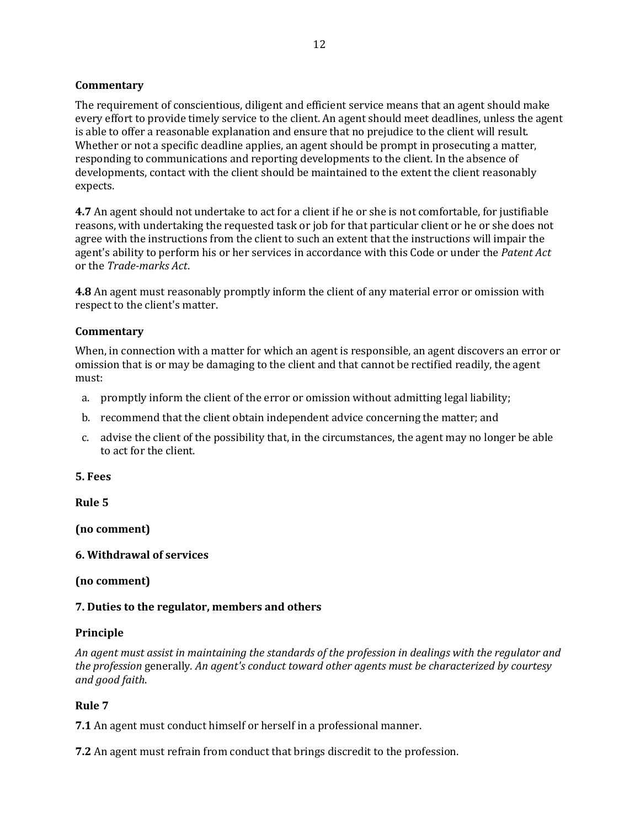### **Commentary**

The requirement of conscientious, diligent and efficient service means that an agent should make every effort to provide timely service to the client. An agent should meet deadlines, unless the agent is able to offer a reasonable explanation and ensure that no prejudice to the client will result. Whether or not a specific deadline applies, an agent should be prompt in prosecuting a matter, responding to communications and reporting developments to the client. In the absence of developments, contact with the client should be maintained to the extent the client reasonably expects.

**4.7** An agent should not undertake to act for a client if he or she is not comfortable, for justifiable reasons, with undertaking the requested task or job for that particular client or he or she does not agree with the instructions from the client to such an extent that the instructions will impair the agent's ability to perform his or her services in accordance with this Code or under the *Patent Act*  or the *Trade-marks Act*.

**4.8** An agent must reasonably promptly inform the client of any material error or omission with respect to the client's matter.

## **Commentary**

When, in connection with a matter for which an agent is responsible, an agent discovers an error or omission that is or may be damaging to the client and that cannot be rectified readily, the agent must:

- a. promptly inform the client of the error or omission without admitting legal liability;
- b. recommend that the client obtain independent advice concerning the matter; and
- c. advise the client of the possibility that, in the circumstances, the agent may no longer be able to act for the client.

### **5. Fees**

**Rule 5**

**(no comment)**

## **6. Withdrawal of services**

## **(no comment)**

## **7. Duties to the regulator, members and others**

#### **Principle**

*An agent must assist in maintaining the standards of the profession in dealings with the regulator and the profession* generally*. An agent's conduct toward other agents must be characterized by courtesy and good faith*.

## **Rule 7**

**7.1** An agent must conduct himself or herself in a professional manner.

**7.2** An agent must refrain from conduct that brings discredit to the profession.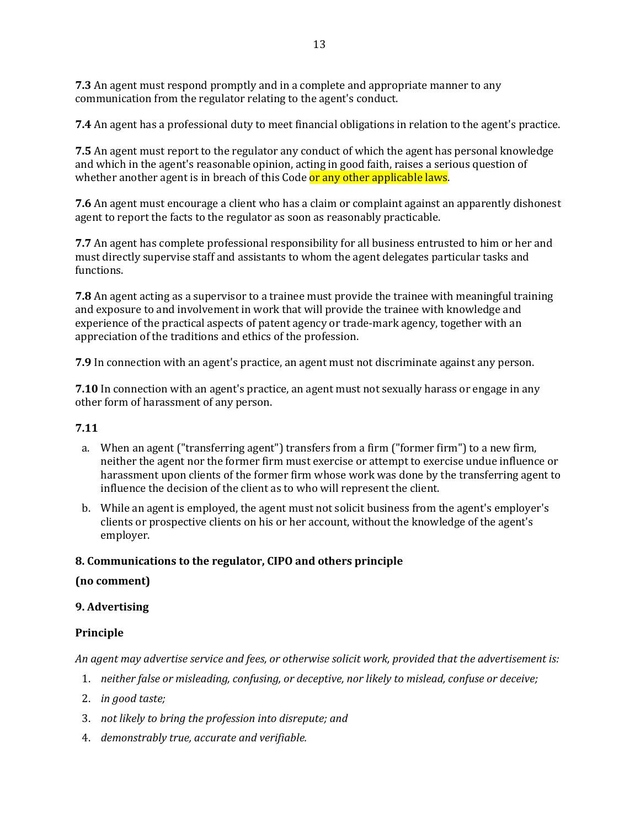**7.3** An agent must respond promptly and in a complete and appropriate manner to any communication from the regulator relating to the agent's conduct.

**7.4** An agent has a professional duty to meet financial obligations in relation to the agent's practice.

**7.5** An agent must report to the regulator any conduct of which the agent has personal knowledge and which in the agent's reasonable opinion, acting in good faith, raises a serious question of whether another agent is in breach of this Code or any other applicable laws.

**7.6** An agent must encourage a client who has a claim or complaint against an apparently dishonest agent to report the facts to the regulator as soon as reasonably practicable.

**7.7** An agent has complete professional responsibility for all business entrusted to him or her and must directly supervise staff and assistants to whom the agent delegates particular tasks and functions.

**7.8** An agent acting as a supervisor to a trainee must provide the trainee with meaningful training and exposure to and involvement in work that will provide the trainee with knowledge and experience of the practical aspects of patent agency or trade-mark agency, together with an appreciation of the traditions and ethics of the profession.

**7.9** In connection with an agent's practice, an agent must not discriminate against any person.

**7.10** In connection with an agent's practice, an agent must not sexually harass or engage in any other form of harassment of any person.

# **7.11**

- a. When an agent ("transferring agent") transfers from a firm ("former firm") to a new firm, neither the agent nor the former firm must exercise or attempt to exercise undue influence or harassment upon clients of the former firm whose work was done by the transferring agent to influence the decision of the client as to who will represent the client.
- b. While an agent is employed, the agent must not solicit business from the agent's employer's clients or prospective clients on his or her account, without the knowledge of the agent's employer.

## **8. Communications to the regulator, CIPO and others principle**

## **(no comment)**

## **9. Advertising**

## **Principle**

*An agent may advertise service and fees, or otherwise solicit work, provided that the advertisement is:*

- 1. *neither false or misleading, confusing, or deceptive, nor likely to mislead, confuse or deceive;*
- 2. *in good taste;*
- 3. *not likely to bring the profession into disrepute; and*
- 4. *demonstrably true, accurate and verifiable.*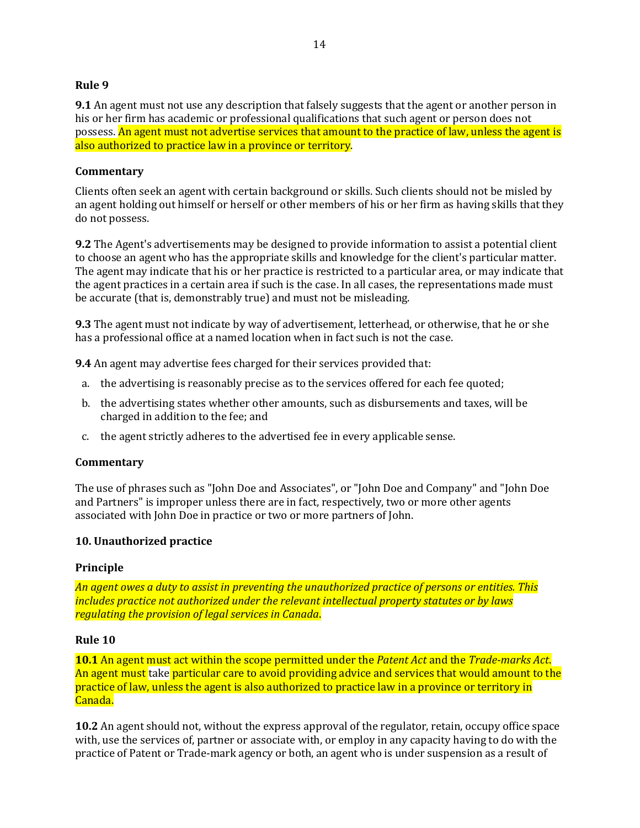#### **Rule 9**

**9.1** An agent must not use any description that falsely suggests that the agent or another person in his or her firm has academic or professional qualifications that such agent or person does not possess. An agent must not advertise services that amount to the practice of law, unless the agent is also authorized to practice law in a province or territory.

#### **Commentary**

Clients often seek an agent with certain background or skills. Such clients should not be misled by an agent holding out himself or herself or other members of his or her firm as having skills that they do not possess.

**9.2** The Agent's advertisements may be designed to provide information to assist a potential client to choose an agent who has the appropriate skills and knowledge for the client's particular matter. The agent may indicate that his or her practice is restricted to a particular area, or may indicate that the agent practices in a certain area if such is the case. In all cases, the representations made must be accurate (that is, demonstrably true) and must not be misleading.

**9.3** The agent must not indicate by way of advertisement, letterhead, or otherwise, that he or she has a professional office at a named location when in fact such is not the case.

**9.4** An agent may advertise fees charged for their services provided that:

- a. the advertising is reasonably precise as to the services offered for each fee quoted;
- b. the advertising states whether other amounts, such as disbursements and taxes, will be charged in addition to the fee; and
- c. the agent strictly adheres to the advertised fee in every applicable sense.

#### **Commentary**

The use of phrases such as "John Doe and Associates", or "John Doe and Company" and "John Doe and Partners" is improper unless there are in fact, respectively, two or more other agents associated with John Doe in practice or two or more partners of John.

#### **10. Unauthorized practice**

#### **Principle**

*An agent owes a duty to assist in preventing the unauthorized practice of persons or entities. This includes practice not authorized under the relevant intellectual property statutes or by laws regulating the provision of legal services in Canada*.

#### **Rule 10**

**10.1** An agent must act within the scope permitted under the *Patent Act* and the *Trade-marks Act*. An agent must take particular care to avoid providing advice and services that would amount to the practice of law, unless the agent is also authorized to practice law in a province or territory in Canada.

**10.2** An agent should not, without the express approval of the regulator, retain, occupy office space with, use the services of, partner or associate with, or employ in any capacity having to do with the practice of Patent or Trade-mark agency or both, an agent who is under suspension as a result of